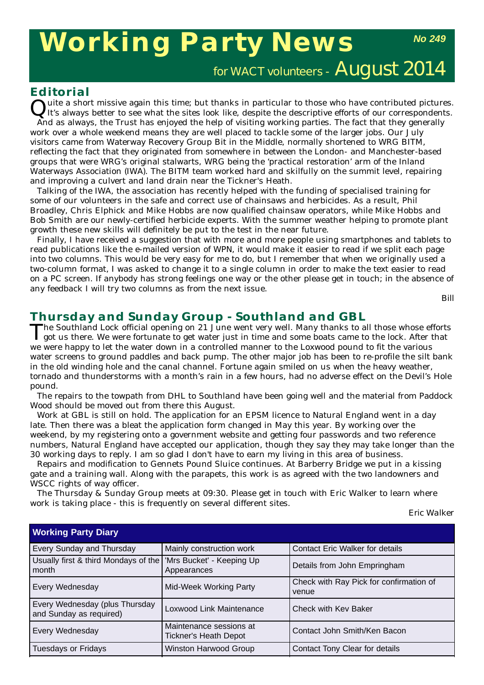# **Working Party News**

*No 249*

for WACT volunteers -  $\text{August } 2014$ 

### **Editorial**

Luite a short missive again this time; but thanks in particular to those who have contributed pictures. It's always better to see what the sites look like, despite the descriptive efforts of our correspondents. And as always, the Trust has enjoyed the help of visiting working parties. The fact that they generally

work over a whole weekend means they are well placed to tackle some of the larger jobs. Our July visitors came from Waterway Recovery Group Bit in the Middle, normally shortened to WRG BITM, reflecting the fact that they originated from somewhere in between the London- and Manchester-based groups that were WRG's original stalwarts, WRG being the 'practical restoration' arm of the Inland Waterways Association (IWA). The BITM team worked hard and skilfully on the summit level, repairing and improving a culvert and land drain near the Tickner's Heath.

Talking of the IWA, the association has recently helped with the funding of specialised training for some of our volunteers in the safe and correct use of chainsaws and herbicides. As a result, Phil Broadley, Chris Elphick and Mike Hobbs are now qualified chainsaw operators, while Mike Hobbs and Bob Smith are our newly-certified herbicide experts. With the summer weather helping to promote plant growth these new skills will definitely be put to the test in the near future.

Finally, I have received a suggestion that with more and more people using smartphones and tablets to read publications like the e-mailed version of *WPN*, it would make it easier to read if we split each page into two columns. This would be very easy for me to do, but I remember that when we originally used a two-column format, I was asked to change it to a single column in order to make the text easier to read on a PC screen. If anybody has strong feelings one way or the other please get in touch; in the absence of any feedback I will try two columns as from the next issue.

*Bill*

# **Thursday and Sunday Group - Southland and GBL**<br>The Southland Lock official opening on 21 June went very well. Many thanks to all those whose efforts

The Southland Lock official opening on 21 June went very well. Many thanks to all those whose efforts got us there. We were fortunate to get water just in time and some boats came to the lock. After that we were happy to let the water down in a controlled manner to the Loxwood pound to fit the various water screens to ground paddles and back pump. The other major job has been to re-profile the silt bank in the old winding hole and the canal channel. Fortune again smiled on us when the heavy weather, tornado and thunderstorms with a month's rain in a few hours, had no adverse effect on the Devil's Hole pound.

The repairs to the towpath from DHL to Southland have been going well and the material from Paddock Wood should be moved out from there this August.

Work at GBL is still on hold. The application for an EPSM licence to Natural England went in a day late. Then there was a bleat the application form changed in May this year. By working over the weekend, by my registering onto a government website and getting four passwords and two reference numbers, Natural England have accepted our application, though they say they may take longer than the 30 working days to reply. I am so glad I don't have to earn my living in this area of business.

Repairs and modification to Gennets Pound Sluice continues. At Barberry Bridge we put in a kissing gate and a training wall. Along with the parapets, this work is as agreed with the two landowners and WSCC rights of way officer.

The Thursday & Sunday Group meets at 09:30. Please get in touch with Eric Walker to learn where work is taking place - this is frequently on several different sites.

*Eric Walk*er

| <b>Working Party Diary</b>                                |                                                  |                                                  |  |  |
|-----------------------------------------------------------|--------------------------------------------------|--------------------------------------------------|--|--|
| Every Sunday and Thursday                                 | Mainly construction work                         | <b>Contact Eric Walker for details</b>           |  |  |
| Usually first & third Mondays of the<br>month             | 'Mrs Bucket' - Keeping Up<br>Appearances         | Details from John Empringham                     |  |  |
| Every Wednesday                                           | Mid-Week Working Party                           | Check with Ray Pick for confirmation of<br>venue |  |  |
| Every Wednesday (plus Thursday<br>and Sunday as required) | Loxwood Link Maintenance                         | Check with Key Baker                             |  |  |
| Every Wednesday                                           | Maintenance sessions at<br>Tickner's Heath Depot | Contact John Smith/Ken Bacon                     |  |  |
| <b>Tuesdays or Fridays</b>                                | Winston Harwood Group                            | Contact Tony Clear for details                   |  |  |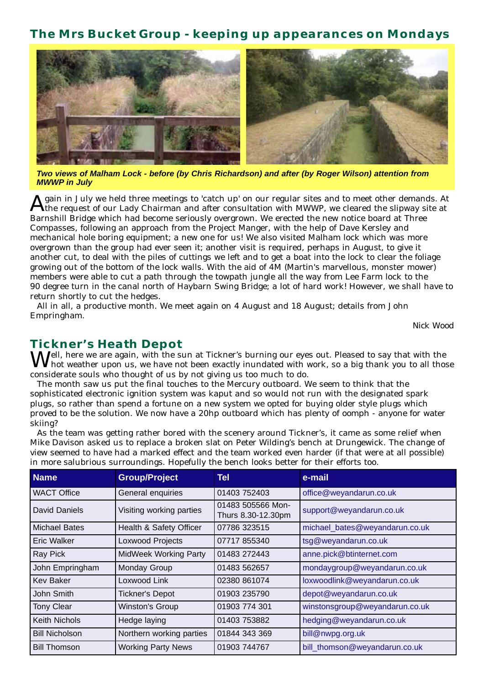# **The Mrs Bucket Group - keeping up appearances on Mondays**



*Two views of Malham Lock - before (by Chris Richardson) and after (by Roger Wilson) attention from MWWP in July*

gain in July we held three meetings to 'catch up' on our regular sites and to meet other demands. At the request of our Lady Chairman and after consultation with MWWP, we cleared the slipway site at Barnshill Bridge which had become seriously overgrown. We erected the new notice board at Three Compasses, following an approach from the Project Manger, with the help of Dave Kersley and mechanical hole boring equipment; a new one for us! We also visited Malham lock which was more overgrown than the group had ever seen it; another visit is required, perhaps in August, to give it another cut, to deal with the piles of cuttings we left and to get a boat into the lock to clear the foliage growing out of the bottom of the lock walls. With the aid of 4M (Martin's marvellous, monster mower) members were able to cut a path through the towpath jungle all the way from Lee Farm lock to the 90 degree turn in the canal north of Haybarn Swing Bridge; a lot of hard work! However, we shall have to return shortly to cut the hedges.

All in all, a productive month. We meet again on 4 August and 18 August; details from John Empringham.

*Nick Wood*

### **Tickner's Heath Depot**

 $\Delta U$ ell, here we are again, with the sun at Tickner's burning our eyes out. Pleased to say that with the hot weather upon us, we have not been exactly inundated with work, so a big thank you to all those considerate souls who thought of us by not giving us too much to do.

The month saw us put the final touches to the Mercury outboard. We seem to think that the sophisticated electronic ignition system was kaput and so would not run with the designated spark plugs, so rather than spend a fortune on a new system we opted for buying older style plugs which proved to be the solution. We now have a 20hp outboard which has plenty of oomph - anyone for water skiing?

As the team was getting rather bored with the scenery around Tickner's, it came as some relief when Mike Davison asked us to replace a broken slat on Peter Wilding's bench at Drungewick. The change of view seemed to have had a marked effect and the team worked even harder (if that were at all possible) in more salubrious surroundings. Hopefully the bench looks better for their efforts too.

| <b>Name</b>           | <b>Group/Project</b>         | <b>Tel</b>                              | e-mail                         |
|-----------------------|------------------------------|-----------------------------------------|--------------------------------|
| <b>WACT Office</b>    | General enquiries            | 01403 752403                            | office@weyandarun.co.uk        |
| David Daniels         | Visiting working parties     | 01483 505566 Mon-<br>Thurs 8.30-12.30pm | support@weyandarun.co.uk       |
| Michael Bates         | Health & Safety Officer      | 07786 323515                            | michael_bates@weyandarun.co.uk |
| <b>Eric Walker</b>    | Loxwood Projects             | 07717 855340                            | tsg@weyandarun.co.uk           |
| Ray Pick              | <b>MidWeek Working Party</b> | 01483 272443                            | anne.pick@btinternet.com       |
| John Empringham       | Monday Group                 | 01483 562657                            | mondaygroup@weyandarun.co.uk   |
| Kev Baker             | Loxwood Link                 | 02380 861074                            | loxwoodlink@weyandarun.co.uk   |
| John Smith            | <b>Tickner's Depot</b>       | 01903 235790                            | depot@weyandarun.co.uk         |
| <b>Tony Clear</b>     | Winston's Group              | 01903 774 301                           | winstonsgroup@weyandarun.co.uk |
| <b>Keith Nichols</b>  | Hedge laying                 | 01403 753882                            | hedging@weyandarun.co.uk       |
| <b>Bill Nicholson</b> | Northern working parties     | 01844 343 369                           | bill@nwpg.org.uk               |
| <b>Bill Thomson</b>   | <b>Working Party News</b>    | 01903 744767                            | bill thomson@weyandarun.co.uk  |